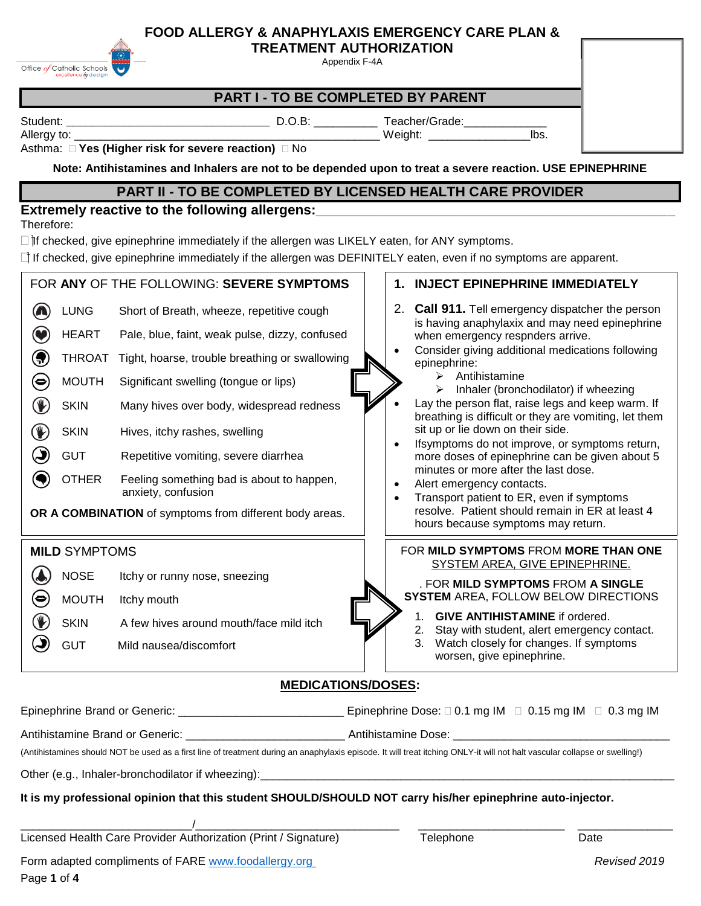Office of Catholic Schools

Appendix F-4A

## **PART I - TO BE COMPLETED BY PARENT**

Student: **blue and a controlled to the controlled Controlled Controlled Controlled Controlled Controlled Controlled Controlled Controlled Controlled Controlled Controlled Controlled Controlled Controlled Controlled Control** 

Allergy to: \_\_\_\_\_\_\_\_\_\_\_\_\_\_\_\_\_\_\_\_\_\_\_\_\_\_\_\_\_\_\_\_\_\_\_\_\_\_\_\_\_\_\_\_\_\_\_\_ Weight: \_\_\_\_\_\_\_\_\_\_\_\_\_\_\_\_lbs.

### Asthma: **Yes (Higher risk for severe reaction)**  No

**Note: Antihistamines and Inhalers are not to be depended upon to treat a severe reaction. USE EPINEPHRINE**

# **PART II - TO BE COMPLETED BY LICENSED HEALTH CARE PROVIDER**

## **Extremely reactive to the following allergens:\_\_\_\_\_\_\_\_\_\_\_\_\_\_\_\_\_\_\_\_\_\_\_\_\_\_\_\_\_\_\_\_\_\_\_\_\_\_\_\_\_\_\_\_\_\_\_**

Therefore:

 $\Box$  and the checked, give epinephrine immediately if the allergen was LIKELY eaten, for ANY symptoms.

□ If checked, give epinephrine immediately if the allergen was DEFINITELY eaten, even if no symptoms are apparent.

|                                                                                                               |                      | FOR ANY OF THE FOLLOWING: SEVERE SYMPTOMS                       |  |                                      | 1. INJECT EPINEPHRINE IMMEDIATELY                                                                              |  |  |
|---------------------------------------------------------------------------------------------------------------|----------------------|-----------------------------------------------------------------|--|--------------------------------------|----------------------------------------------------------------------------------------------------------------|--|--|
| $\left( \bullet \right)$                                                                                      | <b>LUNG</b>          | Short of Breath, wheeze, repetitive cough                       |  |                                      | 2. Call 911. Tell emergency dispatcher the person<br>is having anaphylaxix and may need epinephrine            |  |  |
|                                                                                                               | <b>HEART</b>         | Pale, blue, faint, weak pulse, dizzy, confused                  |  |                                      | when emergency respnders arrive.                                                                               |  |  |
| 9                                                                                                             | <b>THROAT</b>        | Tight, hoarse, trouble breathing or swallowing                  |  |                                      | Consider giving additional medications following<br>epinephrine:                                               |  |  |
| ⊜                                                                                                             | <b>MOUTH</b>         | Significant swelling (tongue or lips)                           |  |                                      | Antihistamine<br>Inhaler (bronchodilator) if wheezing<br>⋗                                                     |  |  |
| $\mathbb{P}$                                                                                                  | <b>SKIN</b>          | Many hives over body, widespread redness                        |  |                                      | Lay the person flat, raise legs and keep warm. If<br>breathing is difficult or they are vomiting, let them     |  |  |
| $\mathbb{P}$                                                                                                  | <b>SKIN</b>          | Hives, itchy rashes, swelling                                   |  |                                      | sit up or lie down on their side.<br>Ifsymptoms do not improve, or symptoms return,                            |  |  |
| Э                                                                                                             | <b>GUT</b>           | Repetitive vomiting, severe diarrhea                            |  |                                      | more doses of epinephrine can be given about 5                                                                 |  |  |
|                                                                                                               | <b>OTHER</b>         | Feeling something bad is about to happen,<br>anxiety, confusion |  | $\bullet$                            | minutes or more after the last dose.<br>Alert emergency contacts.<br>Transport patient to ER, even if symptoms |  |  |
|                                                                                                               |                      | OR A COMBINATION of symptoms from different body areas.         |  |                                      | resolve. Patient should remain in ER at least 4<br>hours because symptoms may return.                          |  |  |
|                                                                                                               | <b>MILD SYMPTOMS</b> |                                                                 |  | FOR MILD SYMPTOMS FROM MORE THAN ONE |                                                                                                                |  |  |
|                                                                                                               | <b>NOSE</b>          | Itchy or runny nose, sneezing                                   |  |                                      | SYSTEM AREA, GIVE EPINEPHRINE.<br>. FOR MILD SYMPTOMS FROM A SINGLE                                            |  |  |
| $\bm{\Theta}$                                                                                                 | <b>MOUTH</b>         | Itchy mouth                                                     |  |                                      | <b>SYSTEM AREA, FOLLOW BELOW DIRECTIONS</b>                                                                    |  |  |
| V)                                                                                                            | <b>SKIN</b>          | A few hives around mouth/face mild itch                         |  |                                      | <b>GIVE ANTIHISTAMINE</b> if ordered.<br>1.<br>Stay with student, alert emergency contact.<br>2.               |  |  |
| ۴                                                                                                             | <b>GUT</b>           | Mild nausea/discomfort                                          |  |                                      | 3.<br>Watch closely for changes. If symptoms<br>worsen, give epinephrine.                                      |  |  |
| <b>MEDICATIONS/DOSES:</b>                                                                                     |                      |                                                                 |  |                                      |                                                                                                                |  |  |
| Epinephrine Dose: $\Box$ 0.1 mg IM $\Box$ 0.15 mg IM $\Box$ 0.3 mg IM<br><b>Epinephrine Brand or Generic:</b> |                      |                                                                 |  |                                      |                                                                                                                |  |  |

| Antihistamine Brand or Generic:                                                                                                                                            | Antihistamine Dose: |
|----------------------------------------------------------------------------------------------------------------------------------------------------------------------------|---------------------|
| (Antihistamines should NOT be used as a first line of treatment during an anaphylaxis episode. It will treat itching ONLY-it will not halt vascular collapse or swelling!) |                     |

Other (e.g., Inhaler-bronchodilator if wheezing):

## **It is my professional opinion that this student SHOULD/SHOULD NOT carry his/her epinephrine auto-injector.**

\_\_\_\_\_\_\_\_\_\_\_\_\_\_\_\_\_\_\_\_\_\_\_\_\_\_\_/\_\_\_\_\_\_\_\_\_\_\_\_\_\_\_\_\_\_\_\_\_\_\_\_\_\_\_\_\_\_\_\_ \_\_\_\_\_\_\_\_\_\_\_\_\_\_\_\_\_\_\_\_\_\_\_ \_\_\_\_\_\_\_\_\_\_\_\_\_\_\_ Licensed Health Care Provider Authorization (Print / Signature) Telephone Telephone

Form adapted compliments of FARE [www.foodallergy.org](http://www.foodallergy.org/) *Revised 2019* Page **1** of **4**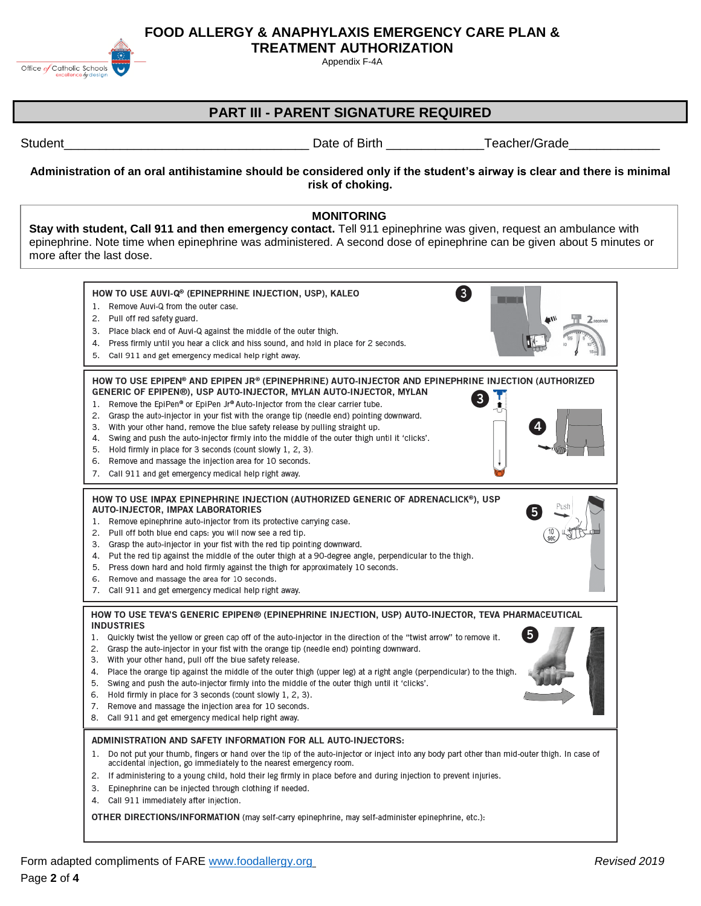Office of Catholic Schools

Appendix F-4A

# **PART III - PARENT SIGNATURE REQUIRED**

Student The Contract of Student Contract of Birth Teacher/Grade

**Administration of an oral antihistamine should be considered only if the student's airway is clear and there is minimal risk of choking.**

### **MONITORING**

**Stay with student, Call 911 and then emergency contact.** Tell 911 epinephrine was given, request an ambulance with epinephrine. Note time when epinephrine was administered. A second dose of epinephrine can be given about 5 minutes or more after the last dose.

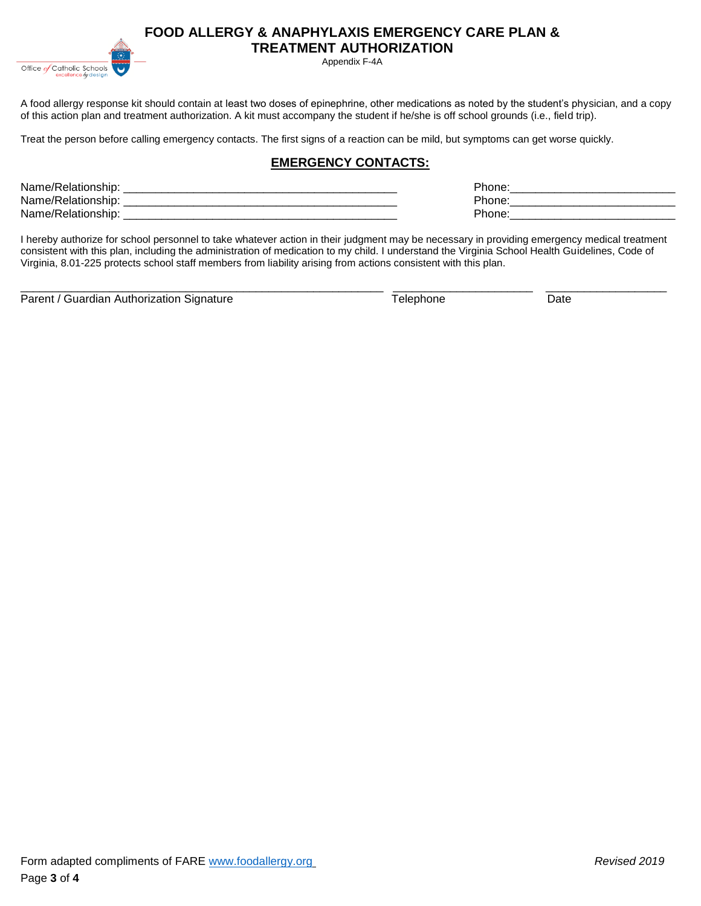Appendix F-4A

A food allergy response kit should contain at least two doses of epinephrine, other medications as noted by the student's physician, and a copy of this action plan and treatment authorization. A kit must accompany the student if he/she is off school grounds (i.e., field trip).

Treat the person before calling emergency contacts. The first signs of a reaction can be mild, but symptoms can get worse quickly.

## **EMERGENCY CONTACTS:**

| Name/Relationship: | Phone. |
|--------------------|--------|
| Name/Relationship: | Phone. |
| Name/Relationship: | Phone. |
|                    |        |

I hereby authorize for school personnel to take whatever action in their judgment may be necessary in providing emergency medical treatment consistent with this plan, including the administration of medication to my child. I understand the Virginia School Health Guidelines, Code of Virginia, 8.01-225 protects school staff members from liability arising from actions consistent with this plan.

\_\_\_\_\_\_\_\_\_\_\_\_\_\_\_\_\_\_\_\_\_\_\_\_\_\_\_\_\_\_\_\_\_\_\_\_\_\_\_\_\_\_\_\_\_\_\_\_\_\_\_\_\_\_\_\_\_ \_\_\_\_\_\_\_\_\_\_\_\_\_\_\_\_\_\_\_\_\_\_ \_\_\_\_\_\_\_\_\_\_\_\_\_\_\_\_\_\_\_

Parent / Guardian Authorization Signature Telephone Telephone Date

Office of Catholic Schools